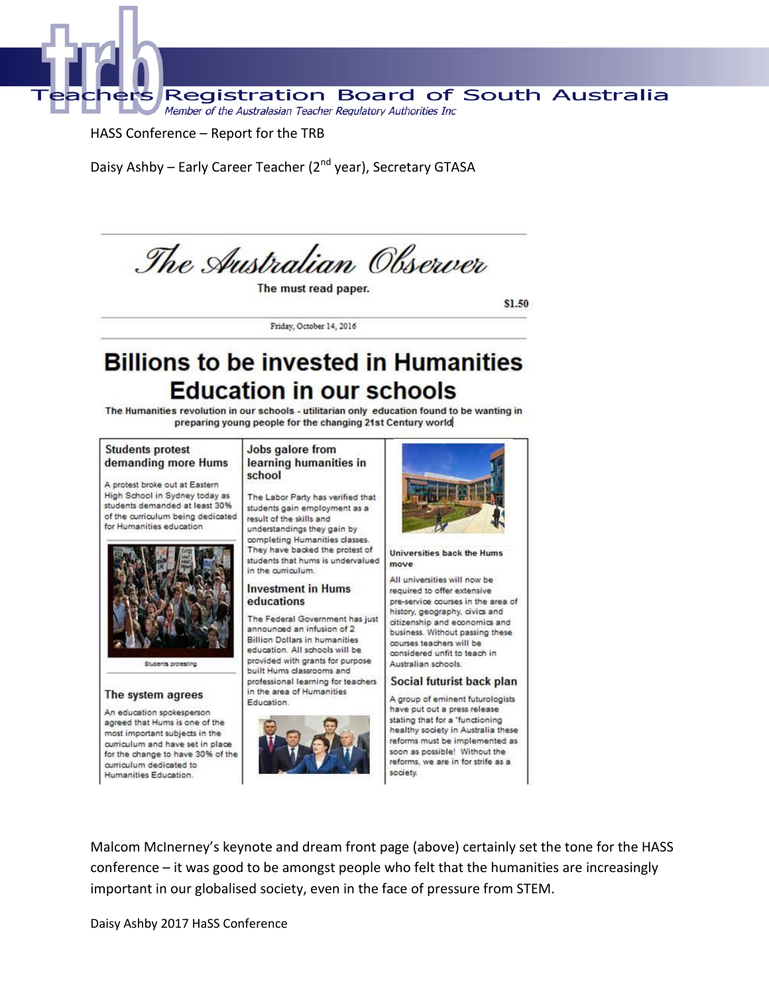

#### HASS Conference - Report for the TRB

Daisy Ashby - Early Career Teacher (2<sup>nd</sup> year), Secretary GTASA



The must read paper.

\$1.50

Friday, October 14, 2016

# **Billions to be invested in Humanities Education in our schools**

The Humanities revolution in our schools - utilitarian only education found to be wanting in preparing young people for the changing 21st Century world

#### **Students protest** demanding more Hums

A protest broke out at Eastern High School in Sydney today as students demanded at least 30% of the curriculum being dedicated for Humanities education



#### The system agrees

An education spokesperson agreed that Hums is one of the most important subjects in the curriculum and have set in place for the change to have 30% of the curriculum dedicated to Humanities Education.

#### Jobs galore from learning humanities in school

The Labor Party has verified that students gain employment as a result of the skills and understandings they gain by completing Humanities classes. They have backed the protest of students that hums is undervalued in the curriculum.

#### **Investment in Hums** educations

The Federal Government has just announced an infusion of 2 **Billion Dollars in humanities** education. All schools will be provided with grants for purpose built Hums classrooms and professional learning for teachers in the area of Humanities Education.





**Universities back the Hums** move

All universities will now be required to offer extensive pre-service courses in the area of history, geography, civics and citizenship and economics and business. Without passing these courses teachers will be considered unfit to teach in Australian schools.

#### Social futurist back plan

A group of eminent futurologists have put out a press release stating that for a "functioning healthy society in Australia these reforms must be implemented as soon as possible! Without the reforms, we are in for strife as a society.

Malcom McInerney's keynote and dream front page (above) certainly set the tone for the HASS conference – it was good to be amongst people who felt that the humanities are increasingly important in our globalised society, even in the face of pressure from STEM.

Daisy Ashby 2017 HaSS Conference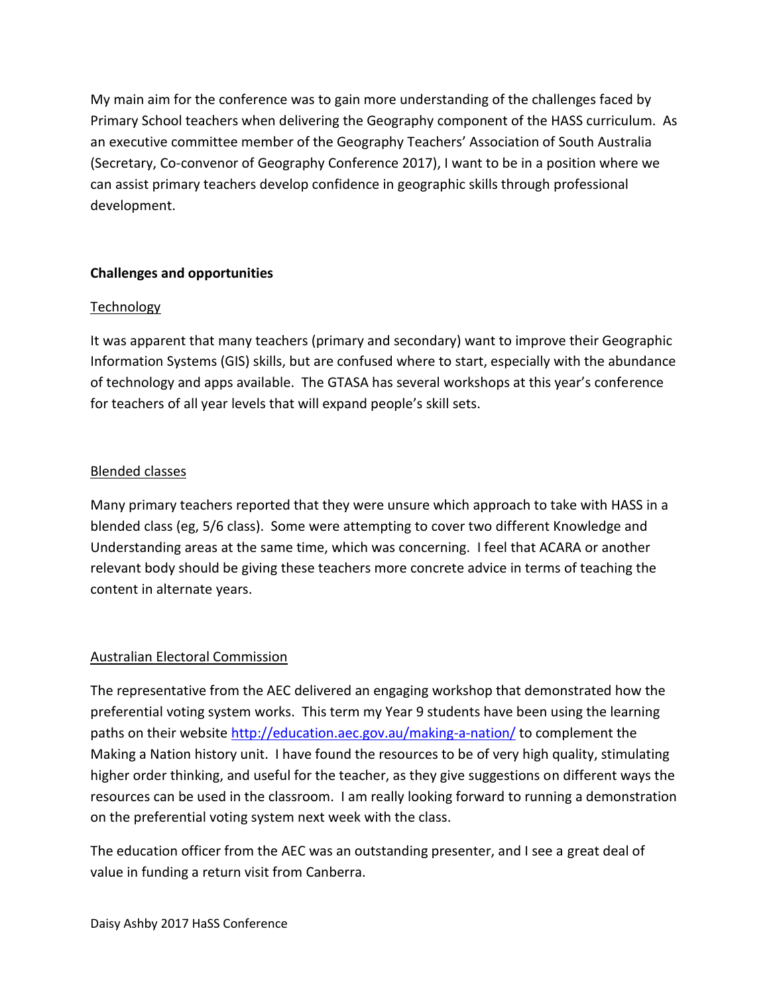My main aim for the conference was to gain more understanding of the challenges faced by Primary School teachers when delivering the Geography component of the HASS curriculum. As an executive committee member of the Geography Teachers' Association of South Australia (Secretary, Co-convenor of Geography Conference 2017), I want to be in a position where we can assist primary teachers develop confidence in geographic skills through professional development.

## **Challenges and opportunities**

#### **Technology**

It was apparent that many teachers (primary and secondary) want to improve their Geographic Information Systems (GIS) skills, but are confused where to start, especially with the abundance of technology and apps available. The GTASA has several workshops at this year's conference for teachers of all year levels that will expand people's skill sets.

#### Blended classes

Many primary teachers reported that they were unsure which approach to take with HASS in a blended class (eg, 5/6 class). Some were attempting to cover two different Knowledge and Understanding areas at the same time, which was concerning. I feel that ACARA or another relevant body should be giving these teachers more concrete advice in terms of teaching the content in alternate years.

## Australian Electoral Commission

The representative from the AEC delivered an engaging workshop that demonstrated how the preferential voting system works. This term my Year 9 students have been using the learning paths on their website<http://education.aec.gov.au/making-a-nation/> to complement the Making a Nation history unit. I have found the resources to be of very high quality, stimulating higher order thinking, and useful for the teacher, as they give suggestions on different ways the resources can be used in the classroom. I am really looking forward to running a demonstration on the preferential voting system next week with the class.

The education officer from the AEC was an outstanding presenter, and I see a great deal of value in funding a return visit from Canberra.